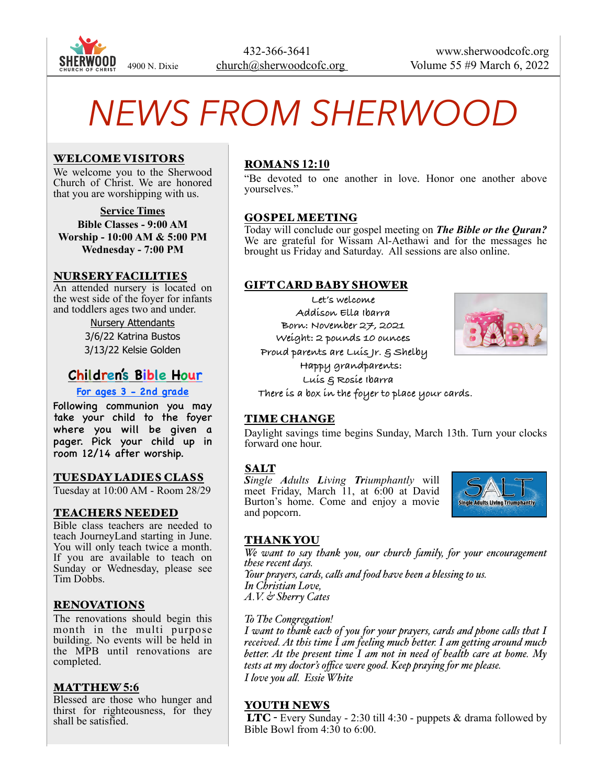

# *NEWS FROM SHERWOOD*

#### WELCOME VISITORS

We welcome you to the Sherwood Church of Christ. We are honored that you are worshipping with us.

**Service Times Bible Classes - 9:00 AM Worship - 10:00 AM & 5:00 PM Wednesday - 7:00 PM**

#### NURSERY FACILITIES

An attended nursery is located on the west side of the foyer for infants and toddlers ages two and under.

> Nursery Attendants 3/6/22 Katrina Bustos 3/13/22 Kelsie Golden

# **Children's Bible Hour**

#### **For ages 3 - 2nd grade**

Following communion you may take your child to the foyer where you will be given a pager. Pick your child up in room 12/14 after worship.

#### TUESDAY LADIES CLASS

Tuesday at 10:00 AM - Room 28/29

#### TEACHERS NEEDED

Bible class teachers are needed to teach JourneyLand starting in June. You will only teach twice a month. If you are available to teach on Sunday or Wednesday, please see Tim Dobbs.

#### RENOVATIONS

The renovations should begin this month in the multi purpose building. No events will be held in the MPB until renovations are completed.

#### MATTHEW **5:6**

Blessed are those who hunger and thirst for righteousness, for they shall be satisfied.

## ROMANS **12:10**

"Be devoted to one another in love. Honor one another above yourselves."

#### GOSPEL MEETING

Today will conclude our gospel meeting on *The Bible or the Quran?* We are grateful for Wissam Al-Aethawi and for the messages he brought us Friday and Saturday. All sessions are also online.

#### GIFT CARD BABY SHOWER

**Let's welcome Addison Ella Ibarra Born: November 27, 2021 Weight: 2 pounds 10 ounces Proud parents are Luis Jr. & Shelby**

 **Happy grandparents: Luis & Rosie Ibarra There is a box in the foyer to place your cards.**

#### TIME CHANGE

Daylight savings time begins Sunday, March 13th. Turn your clocks forward one hour.

#### SALT

*Single Adults Living Triumphantly* will meet Friday, March 11, at 6:00 at David Burton's home. Come and enjoy a movie and popcorn.



#### THANK YOU

*We want to say thank you, our church family, for your encouragement these recent days. Your prayers, cards, calls and food have been a blessing to us. In Christian Love, A.V. & Sherry Cates*

#### *To The Congregation!*

*I want to thank each of you for your prayers, cards and phone calls that I received. At this time I am feeling much better. I am getting around much better. At the present time I am not in need of health care at home. My tests at my doctor's office were good. Keep praying for me please. I love you all. Essie White*

#### YOUTH NEWS

 LTC - Every Sunday - 2:30 till 4:30 - puppets & drama followed by Bible Bowl from 4:30 to 6:00.